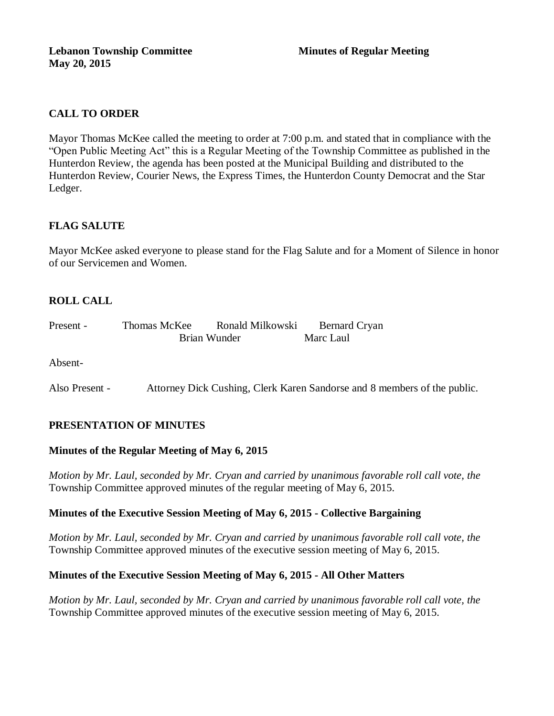# **CALL TO ORDER**

Mayor Thomas McKee called the meeting to order at 7:00 p.m. and stated that in compliance with the "Open Public Meeting Act" this is a Regular Meeting of the Township Committee as published in the Hunterdon Review, the agenda has been posted at the Municipal Building and distributed to the Hunterdon Review, Courier News, the Express Times, the Hunterdon County Democrat and the Star Ledger.

# **FLAG SALUTE**

Mayor McKee asked everyone to please stand for the Flag Salute and for a Moment of Silence in honor of our Servicemen and Women.

# **ROLL CALL**

| Present - | Thomas McKee | Ronald Milkowski | <b>Bernard Cryan</b> |
|-----------|--------------|------------------|----------------------|
|           | Brian Wunder |                  | Marc Laul            |

Absent-

Also Present - Attorney Dick Cushing, Clerk Karen Sandorse and 8 members of the public.

## **PRESENTATION OF MINUTES**

### **Minutes of the Regular Meeting of May 6, 2015**

*Motion by Mr. Laul, seconded by Mr. Cryan and carried by unanimous favorable roll call vote, the*  Township Committee approved minutes of the regular meeting of May 6, 2015.

### **Minutes of the Executive Session Meeting of May 6, 2015 - Collective Bargaining**

*Motion by Mr. Laul, seconded by Mr. Cryan and carried by unanimous favorable roll call vote, the* Township Committee approved minutes of the executive session meeting of May 6, 2015.

### **Minutes of the Executive Session Meeting of May 6, 2015 - All Other Matters**

*Motion by Mr. Laul, seconded by Mr. Cryan and carried by unanimous favorable roll call vote, the* Township Committee approved minutes of the executive session meeting of May 6, 2015.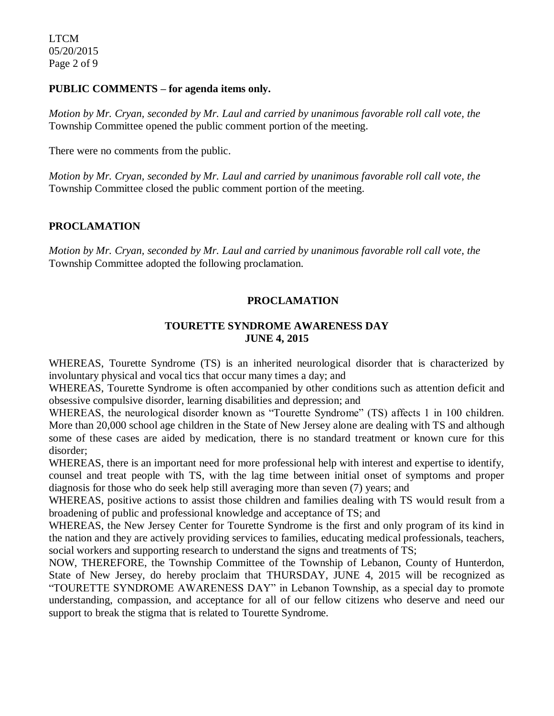#### **PUBLIC COMMENTS – for agenda items only.**

*Motion by Mr. Cryan, seconded by Mr. Laul and carried by unanimous favorable roll call vote, the* Township Committee opened the public comment portion of the meeting.

There were no comments from the public.

*Motion by Mr. Cryan, seconded by Mr. Laul and carried by unanimous favorable roll call vote, the* Township Committee closed the public comment portion of the meeting.

## **PROCLAMATION**

*Motion by Mr. Cryan, seconded by Mr. Laul and carried by unanimous favorable roll call vote, the* Township Committee adopted the following proclamation.

## **PROCLAMATION**

### **TOURETTE SYNDROME AWARENESS DAY JUNE 4, 2015**

WHEREAS, Tourette Syndrome (TS) is an inherited neurological disorder that is characterized by involuntary physical and vocal tics that occur many times a day; and

WHEREAS, Tourette Syndrome is often accompanied by other conditions such as attention deficit and obsessive compulsive disorder, learning disabilities and depression; and

WHEREAS, the neurological disorder known as "Tourette Syndrome" (TS) affects 1 in 100 children. More than 20,000 school age children in the State of New Jersey alone are dealing with TS and although some of these cases are aided by medication, there is no standard treatment or known cure for this disorder;

WHEREAS, there is an important need for more professional help with interest and expertise to identify, counsel and treat people with TS, with the lag time between initial onset of symptoms and proper diagnosis for those who do seek help still averaging more than seven (7) years; and

WHEREAS, positive actions to assist those children and families dealing with TS would result from a broadening of public and professional knowledge and acceptance of TS; and

WHEREAS, the New Jersey Center for Tourette Syndrome is the first and only program of its kind in the nation and they are actively providing services to families, educating medical professionals, teachers, social workers and supporting research to understand the signs and treatments of TS;

NOW, THEREFORE, the Township Committee of the Township of Lebanon, County of Hunterdon, State of New Jersey, do hereby proclaim that THURSDAY, JUNE 4, 2015 will be recognized as "TOURETTE SYNDROME AWARENESS DAY" in Lebanon Township, as a special day to promote understanding, compassion, and acceptance for all of our fellow citizens who deserve and need our support to break the stigma that is related to Tourette Syndrome.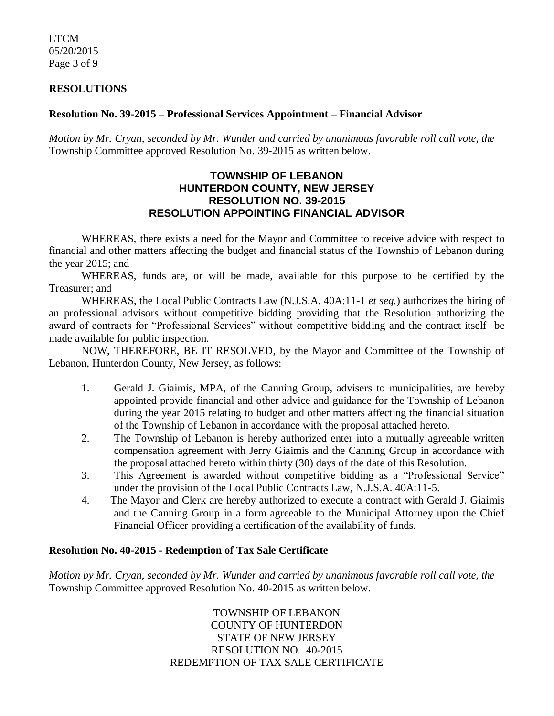LTCM 05/20/2015 Page 3 of 9

#### **RESOLUTIONS**

#### **Resolution No. 39-2015 – Professional Services Appointment – Financial Advisor**

*Motion by Mr. Cryan, seconded by Mr. Wunder and carried by unanimous favorable roll call vote*, *the* Township Committee approved Resolution No. 39-2015 as written below.

## **TOWNSHIP OF LEBANON HUNTERDON COUNTY, NEW JERSEY RESOLUTION NO. 39-2015 RESOLUTION APPOINTING FINANCIAL ADVISOR**

WHEREAS, there exists a need for the Mayor and Committee to receive advice with respect to financial and other matters affecting the budget and financial status of the Township of Lebanon during the year 2015; and

WHEREAS, funds are, or will be made, available for this purpose to be certified by the Treasurer; and

WHEREAS, the Local Public Contracts Law (N.J.S.A. 40A:11-1 *et seq.*) authorizes the hiring of an professional advisors without competitive bidding providing that the Resolution authorizing the award of contracts for "Professional Services" without competitive bidding and the contract itself be made available for public inspection.

NOW, THEREFORE, BE IT RESOLVED, by the Mayor and Committee of the Township of Lebanon, Hunterdon County, New Jersey, as follows:

- 1. Gerald J. Giaimis, MPA, of the Canning Group, advisers to municipalities, are hereby appointed provide financial and other advice and guidance for the Township of Lebanon during the year 2015 relating to budget and other matters affecting the financial situation of the Township of Lebanon in accordance with the proposal attached hereto.
- 2. The Township of Lebanon is hereby authorized enter into a mutually agreeable written compensation agreement with Jerry Giaimis and the Canning Group in accordance with the proposal attached hereto within thirty (30) days of the date of this Resolution.
- 3. This Agreement is awarded without competitive bidding as a "Professional Service" under the provision of the Local Public Contracts Law, N.J.S.A. 40A:11-5.
- 4. The Mayor and Clerk are hereby authorized to execute a contract with Gerald J. Giaimis and the Canning Group in a form agreeable to the Municipal Attorney upon the Chief Financial Officer providing a certification of the availability of funds.

#### **Resolution No. 40-2015 - Redemption of Tax Sale Certificate**

*Motion by Mr. Cryan, seconded by Mr. Wunder and carried by unanimous favorable roll call vote*, *the* Township Committee approved Resolution No. 40-2015 as written below.

> TOWNSHIP OF LEBANON COUNTY OF HUNTERDON STATE OF NEW JERSEY RESOLUTION NO. 40-2015 REDEMPTION OF TAX SALE CERTIFICATE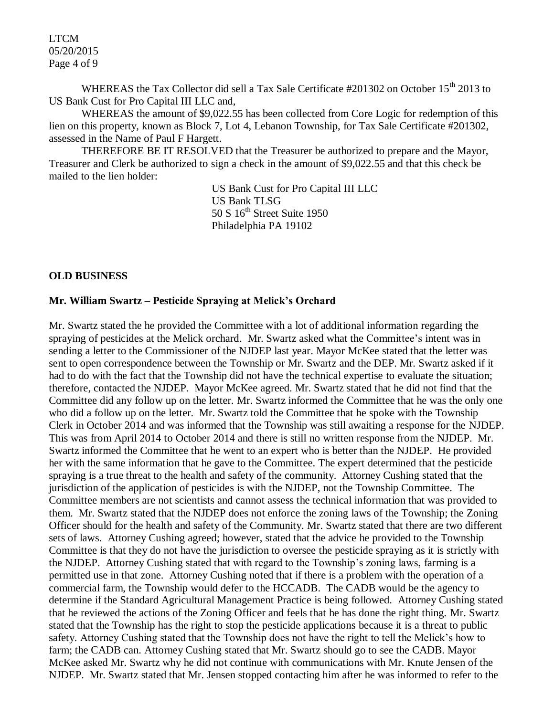LTCM 05/20/2015 Page 4 of 9

WHEREAS the Tax Collector did sell a Tax Sale Certificate #201302 on October 15<sup>th</sup> 2013 to US Bank Cust for Pro Capital III LLC and,

WHEREAS the amount of \$9,022.55 has been collected from Core Logic for redemption of this lien on this property, known as Block 7, Lot 4, Lebanon Township, for Tax Sale Certificate #201302, assessed in the Name of Paul F Hargett.

THEREFORE BE IT RESOLVED that the Treasurer be authorized to prepare and the Mayor, Treasurer and Clerk be authorized to sign a check in the amount of \$9,022.55 and that this check be mailed to the lien holder:

> US Bank Cust for Pro Capital III LLC US Bank TLSG 50 S  $16<sup>th</sup>$  Street Suite 1950 Philadelphia PA 19102

#### **OLD BUSINESS**

#### **Mr. William Swartz – Pesticide Spraying at Melick's Orchard**

Mr. Swartz stated the he provided the Committee with a lot of additional information regarding the spraying of pesticides at the Melick orchard. Mr. Swartz asked what the Committee's intent was in sending a letter to the Commissioner of the NJDEP last year. Mayor McKee stated that the letter was sent to open correspondence between the Township or Mr. Swartz and the DEP. Mr. Swartz asked if it had to do with the fact that the Township did not have the technical expertise to evaluate the situation; therefore, contacted the NJDEP. Mayor McKee agreed. Mr. Swartz stated that he did not find that the Committee did any follow up on the letter. Mr. Swartz informed the Committee that he was the only one who did a follow up on the letter. Mr. Swartz told the Committee that he spoke with the Township Clerk in October 2014 and was informed that the Township was still awaiting a response for the NJDEP. This was from April 2014 to October 2014 and there is still no written response from the NJDEP. Mr. Swartz informed the Committee that he went to an expert who is better than the NJDEP. He provided her with the same information that he gave to the Committee. The expert determined that the pesticide spraying is a true threat to the health and safety of the community. Attorney Cushing stated that the jurisdiction of the application of pesticides is with the NJDEP, not the Township Committee. The Committee members are not scientists and cannot assess the technical information that was provided to them. Mr. Swartz stated that the NJDEP does not enforce the zoning laws of the Township; the Zoning Officer should for the health and safety of the Community. Mr. Swartz stated that there are two different sets of laws. Attorney Cushing agreed; however, stated that the advice he provided to the Township Committee is that they do not have the jurisdiction to oversee the pesticide spraying as it is strictly with the NJDEP. Attorney Cushing stated that with regard to the Township's zoning laws, farming is a permitted use in that zone. Attorney Cushing noted that if there is a problem with the operation of a commercial farm, the Township would defer to the HCCADB. The CADB would be the agency to determine if the Standard Agricultural Management Practice is being followed. Attorney Cushing stated that he reviewed the actions of the Zoning Officer and feels that he has done the right thing. Mr. Swartz stated that the Township has the right to stop the pesticide applications because it is a threat to public safety. Attorney Cushing stated that the Township does not have the right to tell the Melick's how to farm; the CADB can. Attorney Cushing stated that Mr. Swartz should go to see the CADB. Mayor McKee asked Mr. Swartz why he did not continue with communications with Mr. Knute Jensen of the NJDEP. Mr. Swartz stated that Mr. Jensen stopped contacting him after he was informed to refer to the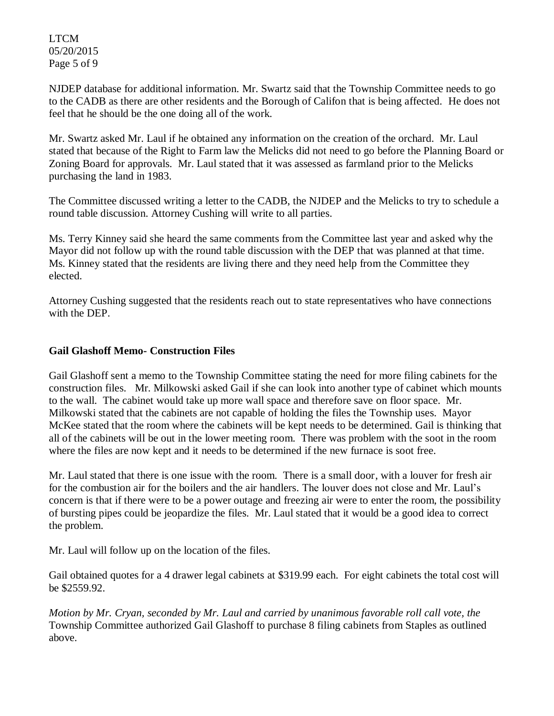LTCM 05/20/2015 Page 5 of 9

NJDEP database for additional information. Mr. Swartz said that the Township Committee needs to go to the CADB as there are other residents and the Borough of Califon that is being affected. He does not feel that he should be the one doing all of the work.

Mr. Swartz asked Mr. Laul if he obtained any information on the creation of the orchard. Mr. Laul stated that because of the Right to Farm law the Melicks did not need to go before the Planning Board or Zoning Board for approvals. Mr. Laul stated that it was assessed as farmland prior to the Melicks purchasing the land in 1983.

The Committee discussed writing a letter to the CADB, the NJDEP and the Melicks to try to schedule a round table discussion. Attorney Cushing will write to all parties.

Ms. Terry Kinney said she heard the same comments from the Committee last year and asked why the Mayor did not follow up with the round table discussion with the DEP that was planned at that time. Ms. Kinney stated that the residents are living there and they need help from the Committee they elected.

Attorney Cushing suggested that the residents reach out to state representatives who have connections with the DEP.

## **Gail Glashoff Memo- Construction Files**

Gail Glashoff sent a memo to the Township Committee stating the need for more filing cabinets for the construction files. Mr. Milkowski asked Gail if she can look into another type of cabinet which mounts to the wall. The cabinet would take up more wall space and therefore save on floor space. Mr. Milkowski stated that the cabinets are not capable of holding the files the Township uses. Mayor McKee stated that the room where the cabinets will be kept needs to be determined. Gail is thinking that all of the cabinets will be out in the lower meeting room. There was problem with the soot in the room where the files are now kept and it needs to be determined if the new furnace is soot free.

Mr. Laul stated that there is one issue with the room. There is a small door, with a louver for fresh air for the combustion air for the boilers and the air handlers. The louver does not close and Mr. Laul's concern is that if there were to be a power outage and freezing air were to enter the room, the possibility of bursting pipes could be jeopardize the files. Mr. Laul stated that it would be a good idea to correct the problem.

Mr. Laul will follow up on the location of the files.

Gail obtained quotes for a 4 drawer legal cabinets at \$319.99 each. For eight cabinets the total cost will be \$2559.92.

*Motion by Mr. Cryan, seconded by Mr. Laul and carried by unanimous favorable roll call vote, the* Township Committee authorized Gail Glashoff to purchase 8 filing cabinets from Staples as outlined above.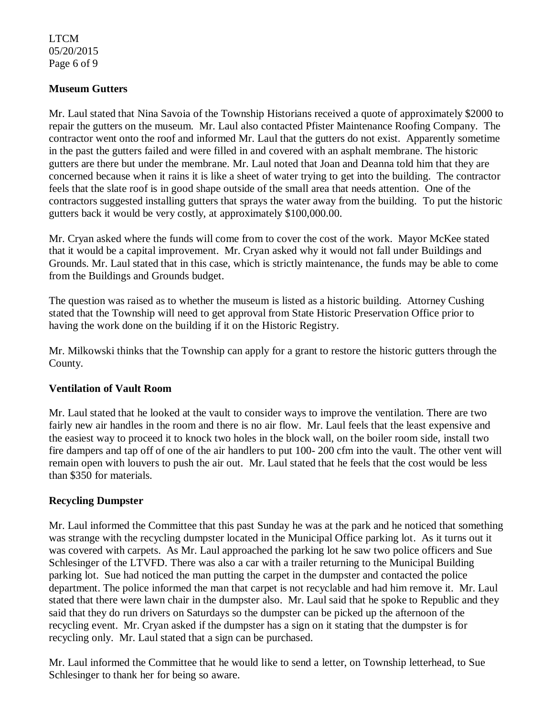## LTCM 05/20/2015 Page 6 of 9

## **Museum Gutters**

Mr. Laul stated that Nina Savoia of the Township Historians received a quote of approximately \$2000 to repair the gutters on the museum. Mr. Laul also contacted Pfister Maintenance Roofing Company. The contractor went onto the roof and informed Mr. Laul that the gutters do not exist. Apparently sometime in the past the gutters failed and were filled in and covered with an asphalt membrane. The historic gutters are there but under the membrane. Mr. Laul noted that Joan and Deanna told him that they are concerned because when it rains it is like a sheet of water trying to get into the building. The contractor feels that the slate roof is in good shape outside of the small area that needs attention. One of the contractors suggested installing gutters that sprays the water away from the building. To put the historic gutters back it would be very costly, at approximately \$100,000.00.

Mr. Cryan asked where the funds will come from to cover the cost of the work. Mayor McKee stated that it would be a capital improvement. Mr. Cryan asked why it would not fall under Buildings and Grounds. Mr. Laul stated that in this case, which is strictly maintenance, the funds may be able to come from the Buildings and Grounds budget.

The question was raised as to whether the museum is listed as a historic building. Attorney Cushing stated that the Township will need to get approval from State Historic Preservation Office prior to having the work done on the building if it on the Historic Registry.

Mr. Milkowski thinks that the Township can apply for a grant to restore the historic gutters through the County.

### **Ventilation of Vault Room**

Mr. Laul stated that he looked at the vault to consider ways to improve the ventilation. There are two fairly new air handles in the room and there is no air flow. Mr. Laul feels that the least expensive and the easiest way to proceed it to knock two holes in the block wall, on the boiler room side, install two fire dampers and tap off of one of the air handlers to put 100- 200 cfm into the vault. The other vent will remain open with louvers to push the air out. Mr. Laul stated that he feels that the cost would be less than \$350 for materials.

### **Recycling Dumpster**

Mr. Laul informed the Committee that this past Sunday he was at the park and he noticed that something was strange with the recycling dumpster located in the Municipal Office parking lot. As it turns out it was covered with carpets. As Mr. Laul approached the parking lot he saw two police officers and Sue Schlesinger of the LTVFD. There was also a car with a trailer returning to the Municipal Building parking lot. Sue had noticed the man putting the carpet in the dumpster and contacted the police department. The police informed the man that carpet is not recyclable and had him remove it. Mr. Laul stated that there were lawn chair in the dumpster also. Mr. Laul said that he spoke to Republic and they said that they do run drivers on Saturdays so the dumpster can be picked up the afternoon of the recycling event. Mr. Cryan asked if the dumpster has a sign on it stating that the dumpster is for recycling only. Mr. Laul stated that a sign can be purchased.

Mr. Laul informed the Committee that he would like to send a letter, on Township letterhead, to Sue Schlesinger to thank her for being so aware.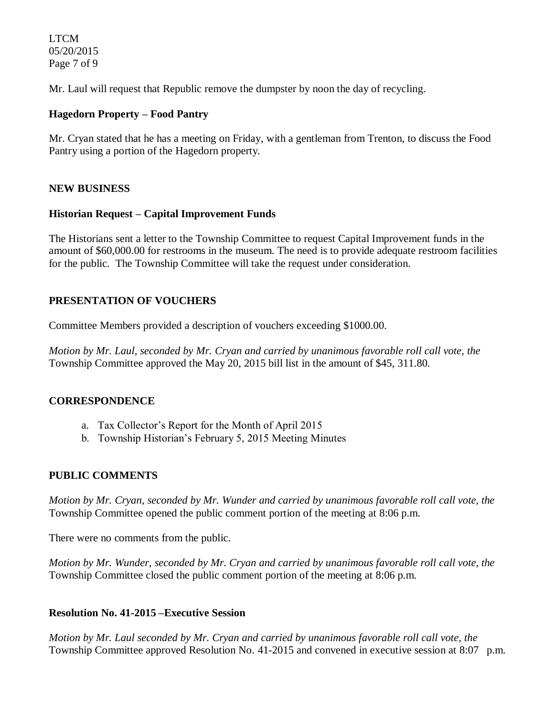LTCM 05/20/2015 Page 7 of 9

Mr. Laul will request that Republic remove the dumpster by noon the day of recycling.

## **Hagedorn Property – Food Pantry**

Mr. Cryan stated that he has a meeting on Friday, with a gentleman from Trenton, to discuss the Food Pantry using a portion of the Hagedorn property.

## **NEW BUSINESS**

### **Historian Request – Capital Improvement Funds**

The Historians sent a letter to the Township Committee to request Capital Improvement funds in the amount of \$60,000.00 for restrooms in the museum. The need is to provide adequate restroom facilities for the public. The Township Committee will take the request under consideration.

# **PRESENTATION OF VOUCHERS**

Committee Members provided a description of vouchers exceeding \$1000.00.

*Motion by Mr. Laul, seconded by Mr. Cryan and carried by unanimous favorable roll call vote, the* Township Committee approved the May 20, 2015 bill list in the amount of \$45, 311.80.

## **CORRESPONDENCE**

- a. Tax Collector's Report for the Month of April 2015
- b. Township Historian's February 5, 2015 Meeting Minutes

## **PUBLIC COMMENTS**

*Motion by Mr. Cryan, seconded by Mr. Wunder and carried by unanimous favorable roll call vote, the* Township Committee opened the public comment portion of the meeting at 8:06 p.m.

There were no comments from the public.

*Motion by Mr. Wunder, seconded by Mr. Cryan and carried by unanimous favorable roll call vote, the* Township Committee closed the public comment portion of the meeting at 8:06 p.m.

## **Resolution No. 41-2015 –Executive Session**

*Motion by Mr. Laul seconded by Mr. Cryan and carried by unanimous favorable roll call vote, the* Township Committee approved Resolution No. 41-2015 and convened in executive session at 8:07 p.m.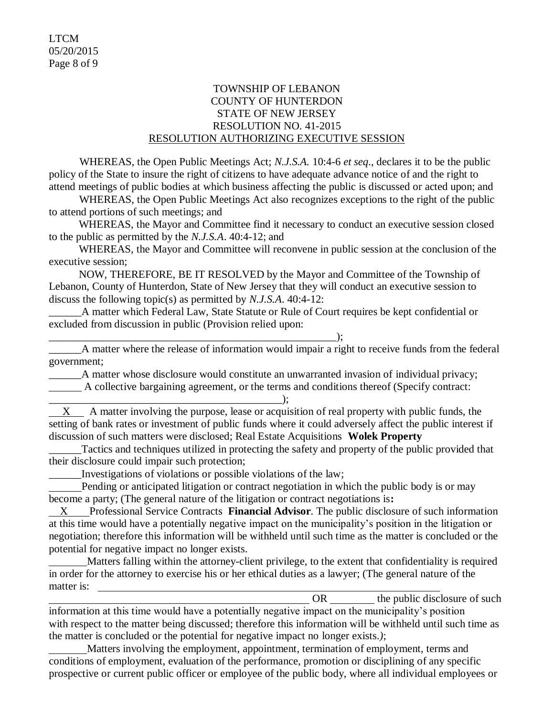## TOWNSHIP OF LEBANON COUNTY OF HUNTERDON STATE OF NEW JERSEY RESOLUTION NO. 41-2015 RESOLUTION AUTHORIZING EXECUTIVE SESSION

WHEREAS, the Open Public Meetings Act; *N.J.S.A.* 10:4-6 *et seq*., declares it to be the public policy of the State to insure the right of citizens to have adequate advance notice of and the right to attend meetings of public bodies at which business affecting the public is discussed or acted upon; and

WHEREAS, the Open Public Meetings Act also recognizes exceptions to the right of the public to attend portions of such meetings; and

 WHEREAS, the Mayor and Committee find it necessary to conduct an executive session closed to the public as permitted by the *N.J.S.A*. 40:4-12; and

 WHEREAS, the Mayor and Committee will reconvene in public session at the conclusion of the executive session;

 NOW, THEREFORE, BE IT RESOLVED by the Mayor and Committee of the Township of Lebanon, County of Hunterdon, State of New Jersey that they will conduct an executive session to discuss the following topic(s) as permitted by *N.J.S.A*. 40:4-12:

A matter which Federal Law, State Statute or Rule of Court requires be kept confidential or excluded from discussion in public (Provision relied upon:

\_\_\_\_\_\_A matter where the release of information would impair a right to receive funds from the federal government;

A matter whose disclosure would constitute an unwarranted invasion of individual privacy; A collective bargaining agreement, or the terms and conditions thereof (Specify contract:

\_\_\_\_\_\_\_\_\_\_\_\_\_\_\_\_\_\_\_\_\_\_\_\_\_\_\_\_\_\_\_\_\_\_\_\_\_\_\_\_\_\_\_);  $X$  A matter involving the purpose, lease or acquisition of real property with public funds, the setting of bank rates or investment of public funds where it could adversely affect the public interest if discussion of such matters were disclosed; Real Estate Acquisitions **Wolek Property**

Tactics and techniques utilized in protecting the safety and property of the public provided that their disclosure could impair such protection;

\_\_\_\_\_\_Investigations of violations or possible violations of the law;

\_\_\_\_\_\_\_\_\_\_\_\_\_\_\_\_\_\_\_\_\_\_\_\_\_\_\_\_\_\_\_\_\_\_\_\_\_\_\_\_\_\_\_\_\_\_\_\_\_\_\_\_\_);

 Pending or anticipated litigation or contract negotiation in which the public body is or may become a party; (The general nature of the litigation or contract negotiations is**:** 

 X Professional Service Contracts **Financial Advisor**. The public disclosure of such information at this time would have a potentially negative impact on the municipality's position in the litigation or negotiation; therefore this information will be withheld until such time as the matter is concluded or the potential for negative impact no longer exists.

 Matters falling within the attorney-client privilege, to the extent that confidentiality is required in order for the attorney to exercise his or her ethical duties as a lawyer; (The general nature of the matter is:

OR the public disclosure of such

information at this time would have a potentially negative impact on the municipality's position with respect to the matter being discussed; therefore this information will be withheld until such time as the matter is concluded or the potential for negative impact no longer exists.*)*;

 Matters involving the employment, appointment, termination of employment, terms and conditions of employment, evaluation of the performance, promotion or disciplining of any specific prospective or current public officer or employee of the public body, where all individual employees or